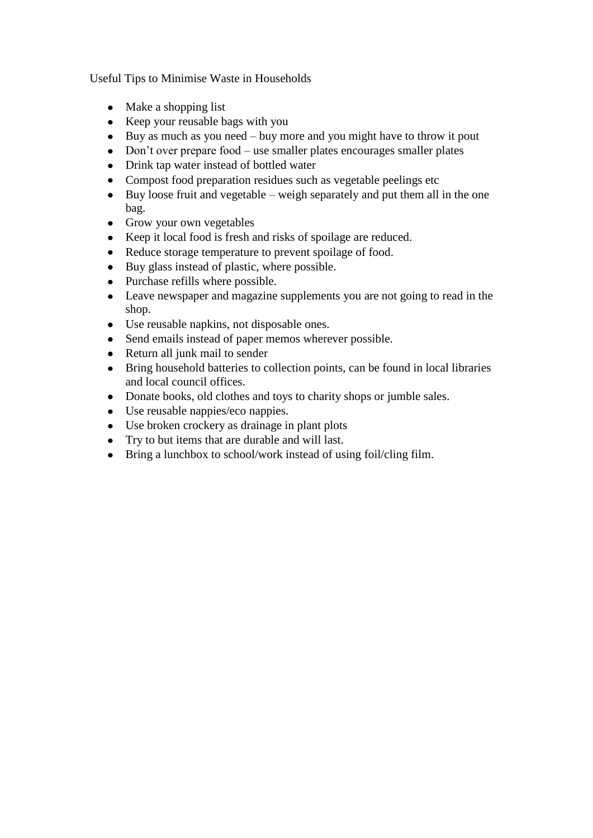Useful Tips to Minimise Waste in Households

- Make a shopping list
- Keep your reusable bags with you
- $\bullet$  Buy as much as you need buy more and you might have to throw it pout
- Don't over prepare food use smaller plates encourages smaller plates
- Drink tap water instead of bottled water
- Compost food preparation residues such as vegetable peelings etc  $\bullet$
- Buy loose fruit and vegetable weigh separately and put them all in the one  $\bullet$ bag.
- Grow your own vegetables
- Keep it local food is fresh and risks of spoilage are reduced.
- Reduce storage temperature to prevent spoilage of food.  $\bullet$
- Buy glass instead of plastic, where possible.
- Purchase refills where possible.  $\bullet$
- Leave newspaper and magazine supplements you are not going to read in the  $\bullet$ shop.
- Use reusable napkins, not disposable ones.
- Send emails instead of paper memos wherever possible.  $\bullet$
- Return all junk mail to sender  $\bullet$
- Bring household batteries to collection points, can be found in local libraries  $\bullet$ and local council offices.
- Donate books, old clothes and toys to charity shops or jumble sales.
- Use reusable nappies/eco nappies.
- Use broken crockery as drainage in plant plots
- Try to but items that are durable and will last.
- $\bullet$ Bring a lunchbox to school/work instead of using foil/cling film.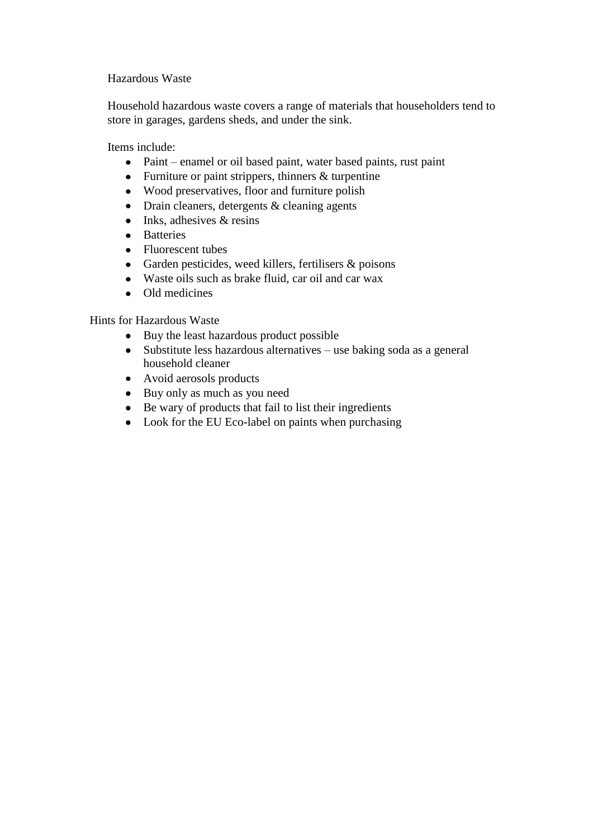## Hazardous Waste

Household hazardous waste covers a range of materials that householders tend to store in garages, gardens sheds, and under the sink.

Items include:

- Paint enamel or oil based paint, water based paints, rust paint
- Furniture or paint strippers, thinners & turpentine
- Wood preservatives, floor and furniture polish
- Drain cleaners, detergents & cleaning agents
- $\bullet$  Inks, adhesives & resins
- Batteries
- Fluorescent tubes
- Garden pesticides, weed killers, fertilisers & poisons
- Waste oils such as brake fluid, car oil and car wax
- Old medicines

Hints for Hazardous Waste

- Buy the least hazardous product possible
- Substitute less hazardous alternatives use baking soda as a general household cleaner
- Avoid aerosols products
- Buy only as much as you need
- Be wary of products that fail to list their ingredients
- Look for the EU Eco-label on paints when purchasing